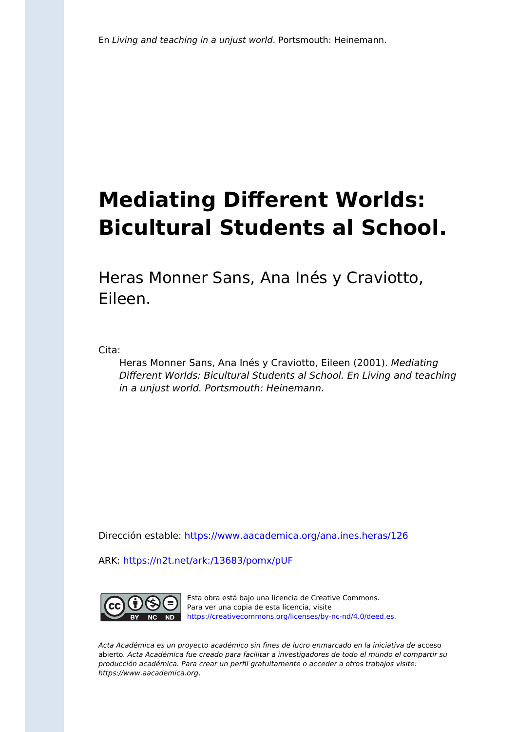# **Mediating Different Worlds: Bicultural Students al School.**

Heras Monner Sans, Ana Inés y Craviotto, Eileen.

Cita:

Heras Monner Sans, Ana Inés y Craviotto, Eileen (2001). Mediating Different Worlds: Bicultural Students al School. En Living and teaching in a unjust world. Portsmouth: Heinemann.

Dirección estable:<https://www.aacademica.org/ana.ines.heras/126>

ARK: <https://n2t.net/ark:/13683/pomx/pUF>



Esta obra está bajo una licencia de Creative Commons. Para ver una copia de esta licencia, visite [https://creativecommons.org/licenses/by-nc-nd/4.0/deed.es.](https://creativecommons.org/licenses/by-nc-nd/4.0/deed.es)

Acta Académica es un proyecto académico sin fines de lucro enmarcado en la iniciativa de acceso abierto. Acta Académica fue creado para facilitar a investigadores de todo el mundo el compartir su producción académica. Para crear un perfil gratuitamente o acceder a otros trabajos visite: https://www.aacademica.org.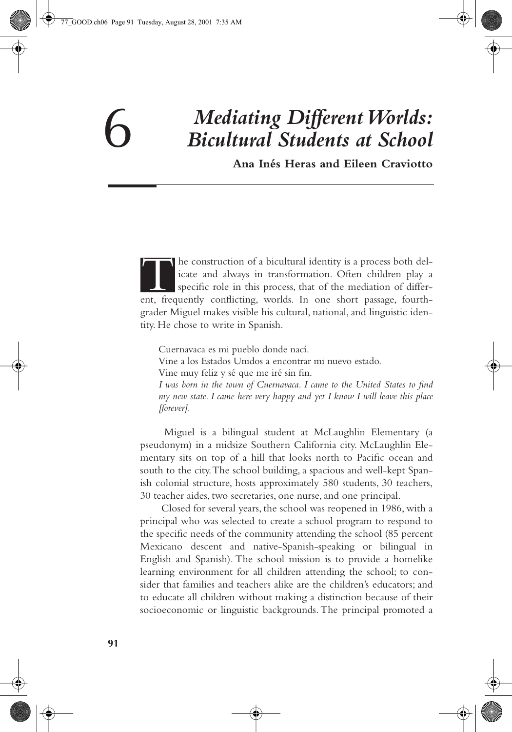## 6 *Mediating Different Worlds: Bicultural Students at School*

**Ana Inés Heras and Eileen Craviotto**

he construction of a bicultural identity is a process both delicate and always in transformation. Often children play a specific role in this process, that of the mediation of differ-The construction of a bicultural identity is a process both delicate and always in transformation. Often children play a specific role in this process, that of the mediation of different, frequently conflicting, worlds. In grader Miguel makes visible his cultural, national, and linguistic identity. He chose to write in Spanish.

Cuernavaca es mi pueblo donde nací.

Vine a los Estados Unidos a encontrar mi nuevo estado.

Vine muy feliz y sé que me iré sin fin.

*I was born in the town of Cuernavaca. I came to the United States to find my new state. I came here very happy and yet I know I will leave this place [forever].*

 Miguel is a bilingual student at McLaughlin Elementary (a pseudonym) in a midsize Southern California city. McLaughlin Elementary sits on top of a hill that looks north to Pacific ocean and south to the city. The school building, a spacious and well-kept Spanish colonial structure, hosts approximately 580 students, 30 teachers, 30 teacher aides, two secretaries, one nurse, and one principal.

 Closed for several years, the school was reopened in 1986, with a principal who was selected to create a school program to respond to the specific needs of the community attending the school (85 percent Mexicano descent and native-Spanish-speaking or bilingual in English and Spanish). The school mission is to provide a homelike learning environment for all children attending the school; to consider that families and teachers alike are the children's educators; and to educate all children without making a distinction because of their socioeconomic or linguistic backgrounds. The principal promoted a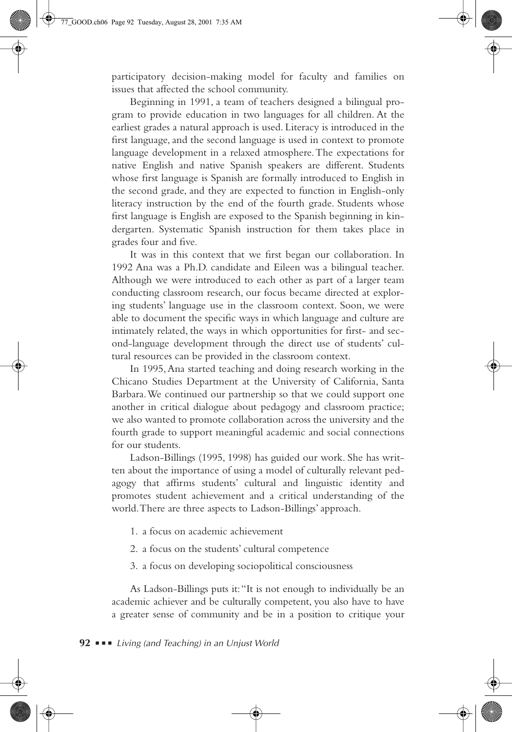participatory decision-making model for faculty and families on issues that affected the school community.

Beginning in 1991, a team of teachers designed a bilingual program to provide education in two languages for all children. At the earliest grades a natural approach is used. Literacy is introduced in the first language, and the second language is used in context to promote language development in a relaxed atmosphere. The expectations for native English and native Spanish speakers are different. Students whose first language is Spanish are formally introduced to English in the second grade, and they are expected to function in English-only literacy instruction by the end of the fourth grade. Students whose first language is English are exposed to the Spanish beginning in kindergarten. Systematic Spanish instruction for them takes place in grades four and five.

It was in this context that we first began our collaboration. In 1992 Ana was a Ph.D. candidate and Eileen was a bilingual teacher. Although we were introduced to each other as part of a larger team conducting classroom research, our focus became directed at exploring students' language use in the classroom context. Soon, we were able to document the specific ways in which language and culture are intimately related, the ways in which opportunities for first- and second-language development through the direct use of students' cultural resources can be provided in the classroom context.

In 1995, Ana started teaching and doing research working in the Chicano Studies Department at the University of California, Santa Barbara. We continued our partnership so that we could support one another in critical dialogue about pedagogy and classroom practice; we also wanted to promote collaboration across the university and the fourth grade to support meaningful academic and social connections for our students.

Ladson-Billings (1995, 1998) has guided our work. She has written about the importance of using a model of culturally relevant pedagogy that affirms students' cultural and linguistic identity and promotes student achievement and a critical understanding of the world. There are three aspects to Ladson-Billings' approach.

- 1. a focus on academic achievement
- 2. a focus on the students' cultural competence
- 3. a focus on developing sociopolitical consciousness

As Ladson-Billings puts it: "It is not enough to individually be an academic achiever and be culturally competent, you also have to have a greater sense of community and be in a position to critique your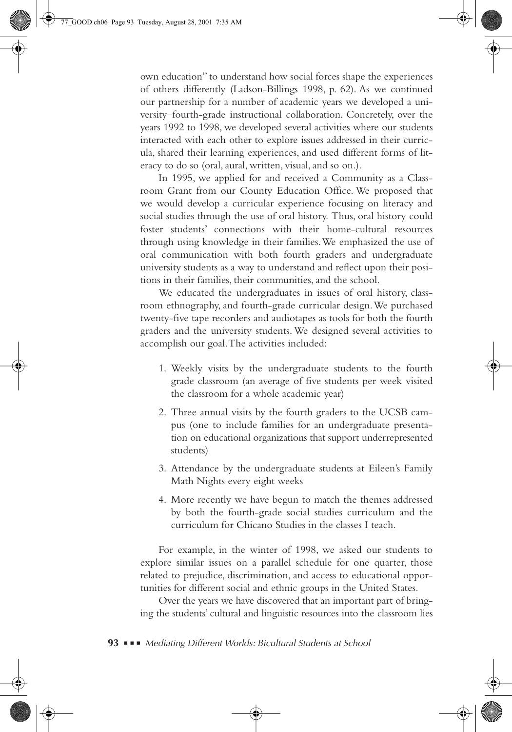own education" to understand how social forces shape the experiences of others differently (Ladson-Billings 1998, p. 62). As we continued our partnership for a number of academic years we developed a university–fourth-grade instructional collaboration. Concretely, over the years 1992 to 1998, we developed several activities where our students interacted with each other to explore issues addressed in their curricula, shared their learning experiences, and used different forms of literacy to do so (oral, aural, written, visual, and so on.).

In 1995, we applied for and received a Community as a Classroom Grant from our County Education Office. We proposed that we would develop a curricular experience focusing on literacy and social studies through the use of oral history. Thus, oral history could foster students' connections with their home-cultural resources through using knowledge in their families. We emphasized the use of oral communication with both fourth graders and undergraduate university students as a way to understand and reflect upon their positions in their families, their communities, and the school.

We educated the undergraduates in issues of oral history, classroom ethnography, and fourth-grade curricular design. We purchased twenty-five tape recorders and audiotapes as tools for both the fourth graders and the university students. We designed several activities to accomplish our goal. The activities included:

- 1. Weekly visits by the undergraduate students to the fourth grade classroom (an average of five students per week visited the classroom for a whole academic year)
- 2. Three annual visits by the fourth graders to the UCSB campus (one to include families for an undergraduate presentation on educational organizations that support underrepresented students)
- 3. Attendance by the undergraduate students at Eileen's Family Math Nights every eight weeks
- 4. More recently we have begun to match the themes addressed by both the fourth-grade social studies curriculum and the curriculum for Chicano Studies in the classes I teach.

For example, in the winter of 1998, we asked our students to explore similar issues on a parallel schedule for one quarter, those related to prejudice, discrimination, and access to educational opportunities for different social and ethnic groups in the United States.

Over the years we have discovered that an important part of bringing the students' cultural and linguistic resources into the classroom lies

**93** ■ ■ ■ *Mediating Different Worlds: Bicultural Students at School*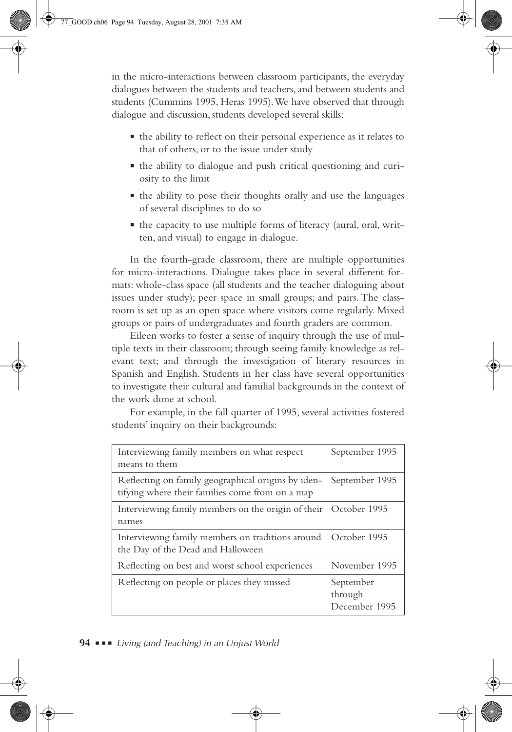in the micro-interactions between classroom participants, the everyday dialogues between the students and teachers, and between students and students (Cummins 1995, Heras 1995). We have observed that through dialogue and discussion, students developed several skills:

- the ability to reflect on their personal experience as it relates to that of others, or to the issue under study
- the ability to dialogue and push critical questioning and curiosity to the limit
- the ability to pose their thoughts orally and use the languages of several disciplines to do so
- the capacity to use multiple forms of literacy (aural, oral, written, and visual) to engage in dialogue.

In the fourth-grade classroom, there are multiple opportunities for micro-interactions. Dialogue takes place in several different formats: whole-class space (all students and the teacher dialoguing about issues under study); peer space in small groups; and pairs. The classroom is set up as an open space where visitors come regularly. Mixed groups or pairs of undergraduates and fourth graders are common.

Eileen works to foster a sense of inquiry through the use of multiple texts in their classroom; through seeing family knowledge as relevant text; and through the investigation of literary resources in Spanish and English. Students in her class have several opportunities to investigate their cultural and familial backgrounds in the context of the work done at school.

For example, in the fall quarter of 1995, several activities fostered students' inquiry on their backgrounds:

| Interviewing family members on what respect<br>means to them                                          | September 1995                        |
|-------------------------------------------------------------------------------------------------------|---------------------------------------|
| Reflecting on family geographical origins by iden-<br>tifying where their families come from on a map | September 1995                        |
| Interviewing family members on the origin of their<br>names                                           | October 1995                          |
| Interviewing family members on traditions around<br>the Day of the Dead and Halloween                 | October 1995                          |
| Reflecting on best and worst school experiences                                                       | November 1995                         |
| Reflecting on people or places they missed                                                            | September<br>through<br>December 1995 |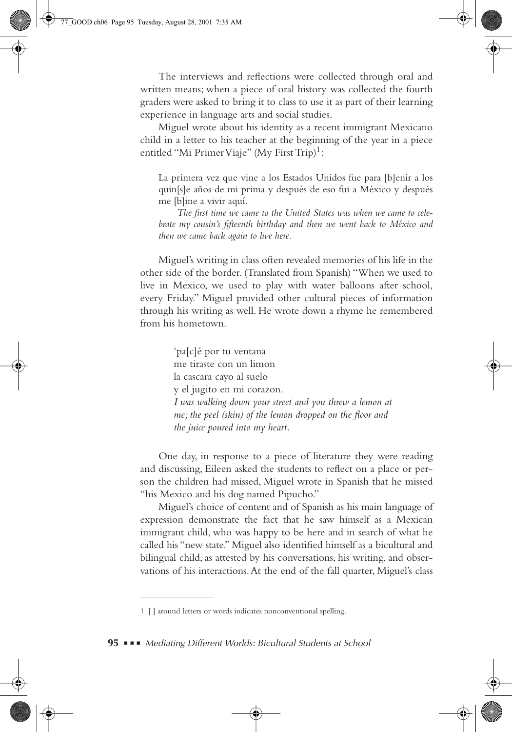The interviews and reflections were collected through oral and written means; when a piece of oral history was collected the fourth graders were asked to bring it to class to use it as part of their learning experience in language arts and social studies.

Miguel wrote about his identity as a recent immigrant Mexicano child in a letter to his teacher at the beginning of the year in a piece entitled "Mi Primer Viaje" (My First Trip)<sup>1</sup>:

La primera vez que vine a los Estados Unidos fue para [b]enir a los quin[s]e años de mi prima y después de eso fui a México y después me [b]ine a vivir aquí.

*The first time we came to the United States was when we came to celebrate my cousin's fifteenth birthday and then we went back to México and then we came back again to live here.* 

Miguel's writing in class often revealed memories of his life in the other side of the border. (Translated from Spanish) "When we used to live in Mexico, we used to play with water balloons after school, every Friday." Miguel provided other cultural pieces of information through his writing as well. He wrote down a rhyme he remembered from his hometown.

> 'pa[c]é por tu ventana me tiraste con un limon la cascara cayo al suelo y el jugito en mi corazon. *I was walking down your street and you threw a lemon at me; the peel (skin) of the lemon dropped on the floor and the juice poured into my heart.*

One day, in response to a piece of literature they were reading and discussing, Eileen asked the students to reflect on a place or person the children had missed, Miguel wrote in Spanish that he missed "his Mexico and his dog named Pipucho."

Miguel's choice of content and of Spanish as his main language of expression demonstrate the fact that he saw himself as a Mexican immigrant child, who was happy to be here and in search of what he called his "new state." Miguel also identified himself as a bicultural and bilingual child, as attested by his conversations, his writing, and observations of his interactions. At the end of the fall quarter, Miguel's class

**95** ■ ■ ■ *Mediating Different Worlds: Bicultural Students at School* 

<sup>1 [ ]</sup> around letters or words indicates nonconventional spelling.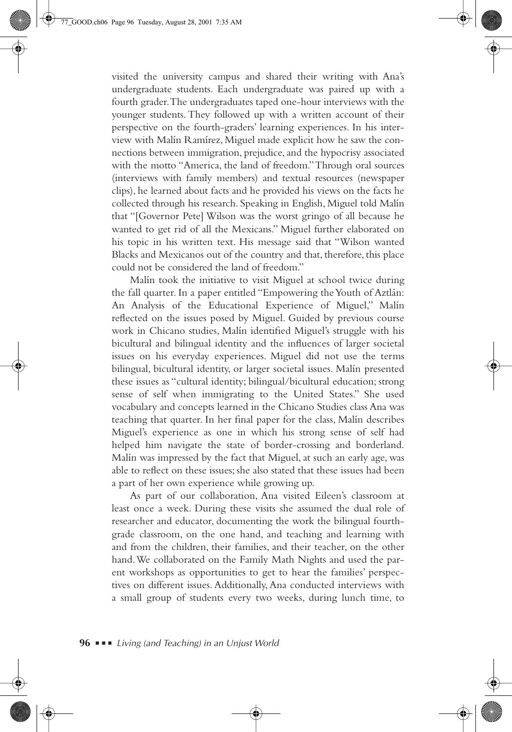visited the university campus and shared their writing with Ana's undergraduate students. Each undergraduate was paired up with a fourth grader. The undergraduates taped one-hour interviews with the younger students. They followed up with a written account of their perspective on the fourth-graders' learning experiences. In his interview with Malín Ramírez, Miguel made explicit how he saw the connections between immigration, prejudice, and the hypocrisy associated with the motto "America, the land of freedom." Through oral sources (interviews with family members) and textual resources (newspaper clips), he learned about facts and he provided his views on the facts he collected through his research. Speaking in English, Miguel told Malín that "[Governor Pete] Wilson was the worst gringo of all because he wanted to get rid of all the Mexicans." Miguel further elaborated on his topic in his written text. His message said that "Wilson wanted Blacks and Mexicanos out of the country and that, therefore, this place could not be considered the land of freedom."

Malín took the initiative to visit Miguel at school twice during the fall quarter. In a paper entitled "Empowering the Youth of Aztlán: An Analysis of the Educational Experience of Miguel," Malín reflected on the issues posed by Miguel. Guided by previous course work in Chicano studies, Malín identified Miguel's struggle with his bicultural and bilingual identity and the influences of larger societal issues on his everyday experiences. Miguel did not use the terms bilingual, bicultural identity, or larger societal issues. Malín presented these issues as "cultural identity; bilingual/bicultural education; strong sense of self when immigrating to the United States." She used vocabulary and concepts learned in the Chicano Studies class Ana was teaching that quarter. In her final paper for the class, Malín describes Miguel's experience as one in which his strong sense of self had helped him navigate the state of border-crossing and borderland. Malín was impressed by the fact that Miguel, at such an early age, was able to reflect on these issues; she also stated that these issues had been a part of her own experience while growing up.

As part of our collaboration, Ana visited Eileen's classroom at least once a week. During these visits she assumed the dual role of researcher and educator, documenting the work the bilingual fourthgrade classroom, on the one hand, and teaching and learning with and from the children, their families, and their teacher, on the other hand. We collaborated on the Family Math Nights and used the parent workshops as opportunities to get to hear the families' perspectives on different issues. Additionally, Ana conducted interviews with a small group of students every two weeks, during lunch time, to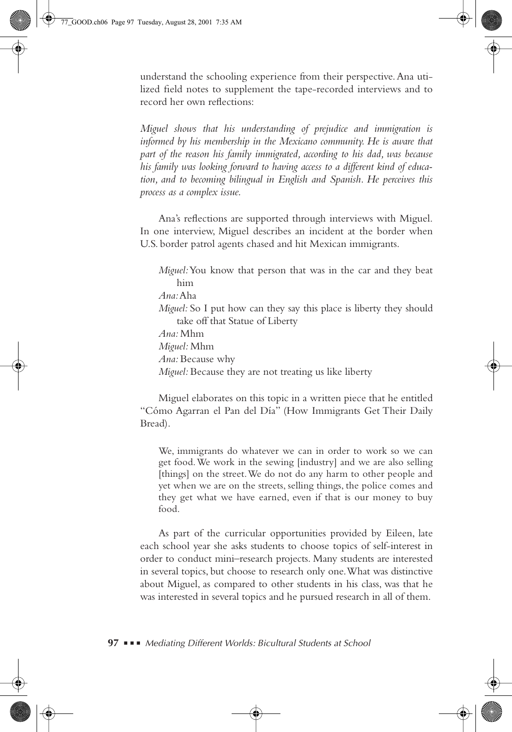understand the schooling experience from their perspective. Ana utilized field notes to supplement the tape-recorded interviews and to record her own reflections:

*Miguel shows that his understanding of prejudice and immigration is informed by his membership in the Mexicano community. He is aware that part of the reason his family immigrated, according to his dad, was because his family was looking forward to having access to a different kind of education, and to becoming bilingual in English and Spanish. He perceives this process as a complex issue.*

Ana's reflections are supported through interviews with Miguel. In one interview, Miguel describes an incident at the border when U.S. border patrol agents chased and hit Mexican immigrants.

*Miguel:* You know that person that was in the car and they beat him *Ana:* Aha *Miguel:* So I put how can they say this place is liberty they should take off that Statue of Liberty *Ana:* Mhm *Miguel:* Mhm *Ana:* Because why *Miguel:* Because they are not treating us like liberty

Miguel elaborates on this topic in a written piece that he entitled "Cómo Agarran el Pan del Día" (How Immigrants Get Their Daily Bread).

We, immigrants do whatever we can in order to work so we can get food. We work in the sewing [industry] and we are also selling [things] on the street. We do not do any harm to other people and yet when we are on the streets, selling things, the police comes and they get what we have earned, even if that is our money to buy food.

As part of the curricular opportunities provided by Eileen, late each school year she asks students to choose topics of self-interest in order to conduct mini–research projects. Many students are interested in several topics, but choose to research only one. What was distinctive about Miguel, as compared to other students in his class, was that he was interested in several topics and he pursued research in all of them.

**97** ■ ■ ■ *Mediating Different Worlds: Bicultural Students at School*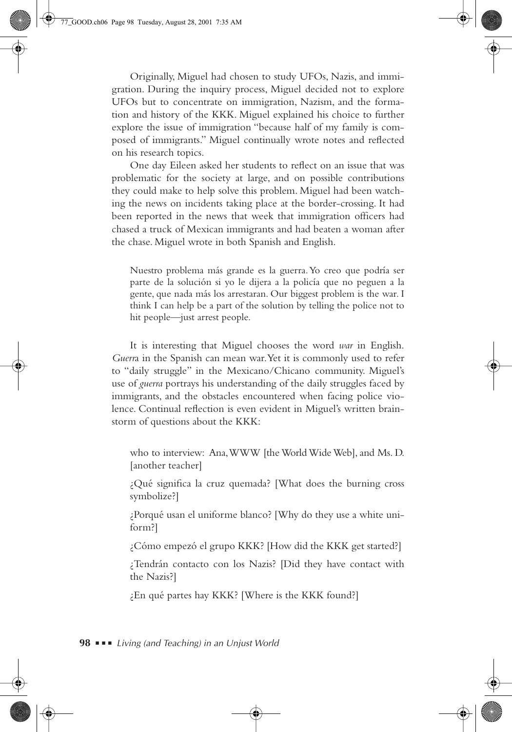Originally, Miguel had chosen to study UFOs, Nazis, and immigration. During the inquiry process, Miguel decided not to explore UFOs but to concentrate on immigration, Nazism, and the formation and history of the KKK. Miguel explained his choice to further explore the issue of immigration "because half of my family is composed of immigrants." Miguel continually wrote notes and reflected on his research topics.

One day Eileen asked her students to reflect on an issue that was problematic for the society at large, and on possible contributions they could make to help solve this problem. Miguel had been watching the news on incidents taking place at the border-crossing. It had been reported in the news that week that immigration officers had chased a truck of Mexican immigrants and had beaten a woman after the chase. Miguel wrote in both Spanish and English.

Nuestro problema más grande es la guerra. Yo creo que podría ser parte de la solución si yo le dijera a la policía que no peguen a la gente, que nada más los arrestaran. Our biggest problem is the war. I think I can help be a part of the solution by telling the police not to hit people—just arrest people.

It is interesting that Miguel chooses the word *war* in English. *Guerr*a in the Spanish can mean war. Yet it is commonly used to refer to "daily struggle" in the Mexicano/Chicano community. Miguel's use of *guerra* portrays his understanding of the daily struggles faced by immigrants, and the obstacles encountered when facing police violence. Continual reflection is even evident in Miguel's written brainstorm of questions about the KKK:

who to interview: Ana, WWW [the World Wide Web], and Ms. D. [another teacher]

¿Qué significa la cruz quemada? [What does the burning cross symbolize?]

¿Porqué usan el uniforme blanco? [Why do they use a white uniform?]

¿Cómo empezó el grupo KKK? [How did the KKK get started?]

¿Tendrán contacto con los Nazis? [Did they have contact with the Nazis?]

¿En qué partes hay KKK? [Where is the KKK found?]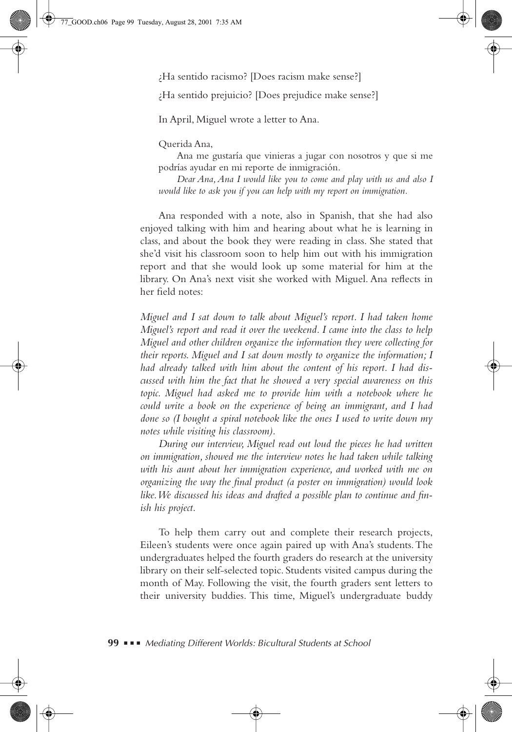¿Ha sentido racismo? [Does racism make sense?]

¿Ha sentido prejuicio? [Does prejudice make sense?]

In April, Miguel wrote a letter to Ana.

Querida Ana,

Ana me gustaría que vinieras a jugar con nosotros y que si me podrías ayudar en mi reporte de inmigración.

*Dear Ana, Ana I would like you to come and play with us and also I would like to ask you if you can help with my report on immigration.* 

Ana responded with a note, also in Spanish, that she had also enjoyed talking with him and hearing about what he is learning in class, and about the book they were reading in class. She stated that she'd visit his classroom soon to help him out with his immigration report and that she would look up some material for him at the library. On Ana's next visit she worked with Miguel. Ana reflects in her field notes:

*Miguel and I sat down to talk about Miguel's report. I had taken home Miguel's report and read it over the weekend. I came into the class to help Miguel and other children organize the information they were collecting for their reports. Miguel and I sat down mostly to organize the information; I had already talked with him about the content of his report. I had discussed with him the fact that he showed a very special awareness on this topic. Miguel had asked me to provide him with a notebook where he could write a book on the experience of being an immigrant, and I had done so (I bought a spiral notebook like the ones I used to write down my notes while visiting his classroom).* 

*During our interview, Miguel read out loud the pieces he had written on immigration, showed me the interview notes he had taken while talking with his aunt about her immigration experience, and worked with me on organizing the way the final product (a poster on immigration) would look like. We discussed his ideas and drafted a possible plan to continue and finish his project.*

To help them carry out and complete their research projects, Eileen's students were once again paired up with Ana's students. The undergraduates helped the fourth graders do research at the university library on their self-selected topic. Students visited campus during the month of May. Following the visit, the fourth graders sent letters to their university buddies. This time, Miguel's undergraduate buddy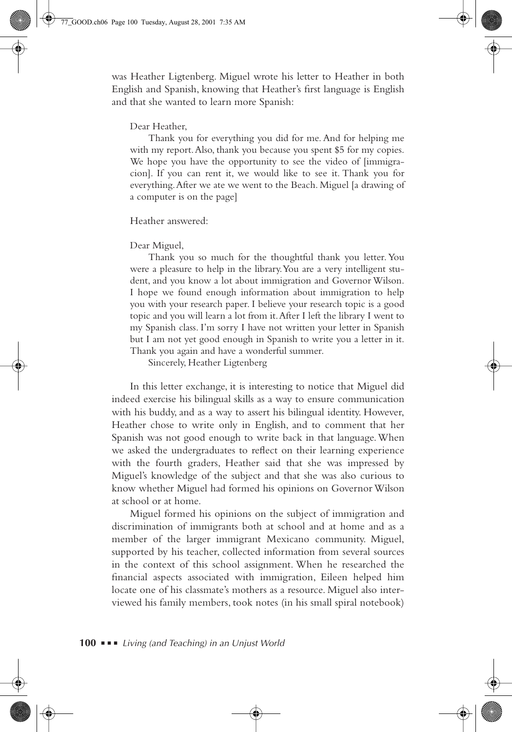was Heather Ligtenberg. Miguel wrote his letter to Heather in both English and Spanish, knowing that Heather's first language is English and that she wanted to learn more Spanish:

#### Dear Heather,

Thank you for everything you did for me. And for helping me with my report. Also, thank you because you spent \$5 for my copies. We hope you have the opportunity to see the video of [immigracion]. If you can rent it, we would like to see it. Thank you for everything. After we ate we went to the Beach. Miguel [a drawing of a computer is on the page]

Heather answered:

#### Dear Miguel,

Thank you so much for the thoughtful thank you letter. You were a pleasure to help in the library. You are a very intelligent student, and you know a lot about immigration and Governor Wilson. I hope we found enough information about immigration to help you with your research paper. I believe your research topic is a good topic and you will learn a lot from it. After I left the library I went to my Spanish class. I'm sorry I have not written your letter in Spanish but I am not yet good enough in Spanish to write you a letter in it. Thank you again and have a wonderful summer.

Sincerely, Heather Ligtenberg

In this letter exchange, it is interesting to notice that Miguel did indeed exercise his bilingual skills as a way to ensure communication with his buddy, and as a way to assert his bilingual identity. However, Heather chose to write only in English, and to comment that her Spanish was not good enough to write back in that language. When we asked the undergraduates to reflect on their learning experience with the fourth graders, Heather said that she was impressed by Miguel's knowledge of the subject and that she was also curious to know whether Miguel had formed his opinions on Governor Wilson at school or at home.

Miguel formed his opinions on the subject of immigration and discrimination of immigrants both at school and at home and as a member of the larger immigrant Mexicano community. Miguel, supported by his teacher, collected information from several sources in the context of this school assignment. When he researched the financial aspects associated with immigration, Eileen helped him locate one of his classmate's mothers as a resource. Miguel also interviewed his family members, took notes (in his small spiral notebook)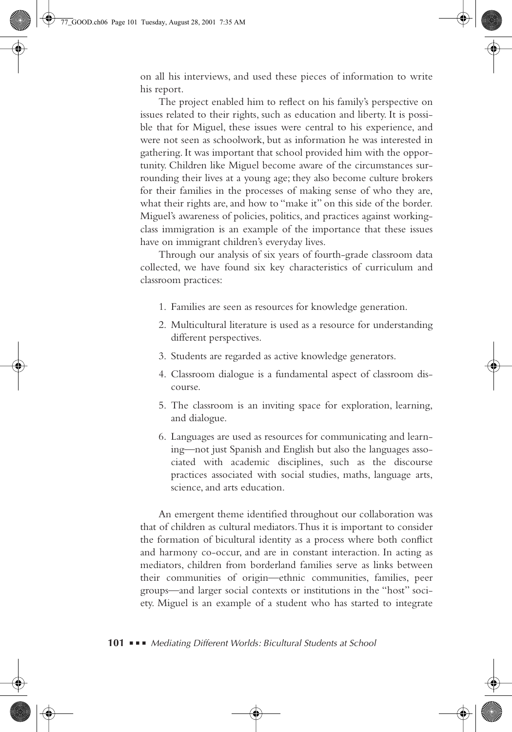on all his interviews, and used these pieces of information to write his report.

The project enabled him to reflect on his family's perspective on issues related to their rights, such as education and liberty. It is possible that for Miguel, these issues were central to his experience, and were not seen as schoolwork, but as information he was interested in gathering. It was important that school provided him with the opportunity. Children like Miguel become aware of the circumstances surrounding their lives at a young age; they also become culture brokers for their families in the processes of making sense of who they are, what their rights are, and how to "make it" on this side of the border. Miguel's awareness of policies, politics, and practices against workingclass immigration is an example of the importance that these issues have on immigrant children's everyday lives.

Through our analysis of six years of fourth-grade classroom data collected, we have found six key characteristics of curriculum and classroom practices:

- 1. Families are seen as resources for knowledge generation.
- 2. Multicultural literature is used as a resource for understanding different perspectives.
- 3. Students are regarded as active knowledge generators.
- 4. Classroom dialogue is a fundamental aspect of classroom discourse.
- 5. The classroom is an inviting space for exploration, learning, and dialogue.
- 6. Languages are used as resources for communicating and learning—not just Spanish and English but also the languages associated with academic disciplines, such as the discourse practices associated with social studies, maths, language arts, science, and arts education.

An emergent theme identified throughout our collaboration was that of children as cultural mediators. Thus it is important to consider the formation of bicultural identity as a process where both conflict and harmony co-occur, and are in constant interaction. In acting as mediators, children from borderland families serve as links between their communities of origin—ethnic communities, families, peer groups—and larger social contexts or institutions in the "host" society. Miguel is an example of a student who has started to integrate